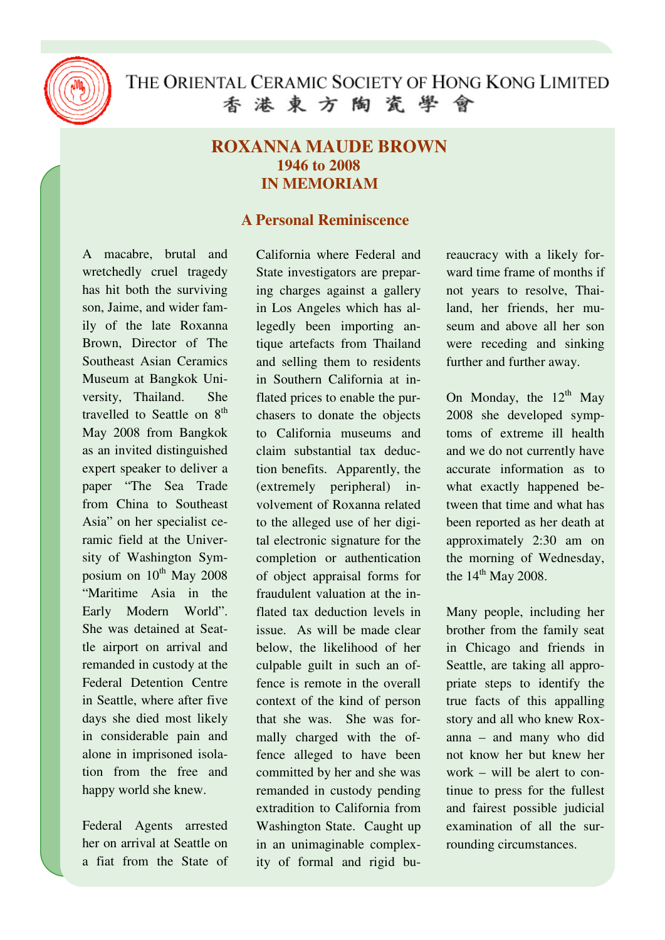

## **ROXANNA MAUDE BROWN 1946 to 2008 IN MEMORIAM**

## **A Personal Reminiscence**

A macabre, brutal and wretchedly cruel tragedy has hit both the surviving son, Jaime, and wider family of the late Roxanna Brown, Director of The Southeast Asian Ceramics Museum at Bangkok University, Thailand. She travelled to Seattle on 8<sup>th</sup> May 2008 from Bangkok as an invited distinguished expert speaker to deliver a paper "The Sea Trade from China to Southeast Asia" on her specialist ceramic field at the University of Washington Symposium on 10<sup>th</sup> May 2008 "Maritime Asia in the Early Modern World". She was detained at Seattle airport on arrival and remanded in custody at the Federal Detention Centre in Seattle, where after five days she died most likely in considerable pain and alone in imprisoned isolation from the free and happy world she knew.

Federal Agents arrested her on arrival at Seattle on a fiat from the State of California where Federal and State investigators are preparing charges against a gallery in Los Angeles which has allegedly been importing antique artefacts from Thailand and selling them to residents in Southern California at inflated prices to enable the purchasers to donate the objects to California museums and claim substantial tax deduction benefits. Apparently, the (extremely peripheral) involvement of Roxanna related to the alleged use of her digital electronic signature for the completion or authentication of object appraisal forms for fraudulent valuation at the inflated tax deduction levels in issue. As will be made clear below, the likelihood of her culpable guilt in such an offence is remote in the overall context of the kind of person that she was. She was formally charged with the offence alleged to have been committed by her and she was remanded in custody pending extradition to California from Washington State. Caught up in an unimaginable complexity of formal and rigid bureaucracy with a likely forward time frame of months if not years to resolve, Thailand, her friends, her museum and above all her son were receding and sinking further and further away.

On Monday, the  $12<sup>th</sup>$  May 2008 she developed symptoms of extreme ill health and we do not currently have accurate information as to what exactly happened between that time and what has been reported as her death at approximately 2:30 am on the morning of Wednesday, the  $14<sup>th</sup>$  May 2008.

Many people, including her brother from the family seat in Chicago and friends in Seattle, are taking all appropriate steps to identify the true facts of this appalling story and all who knew Roxanna – and many who did not know her but knew her work – will be alert to continue to press for the fullest and fairest possible judicial examination of all the surrounding circumstances.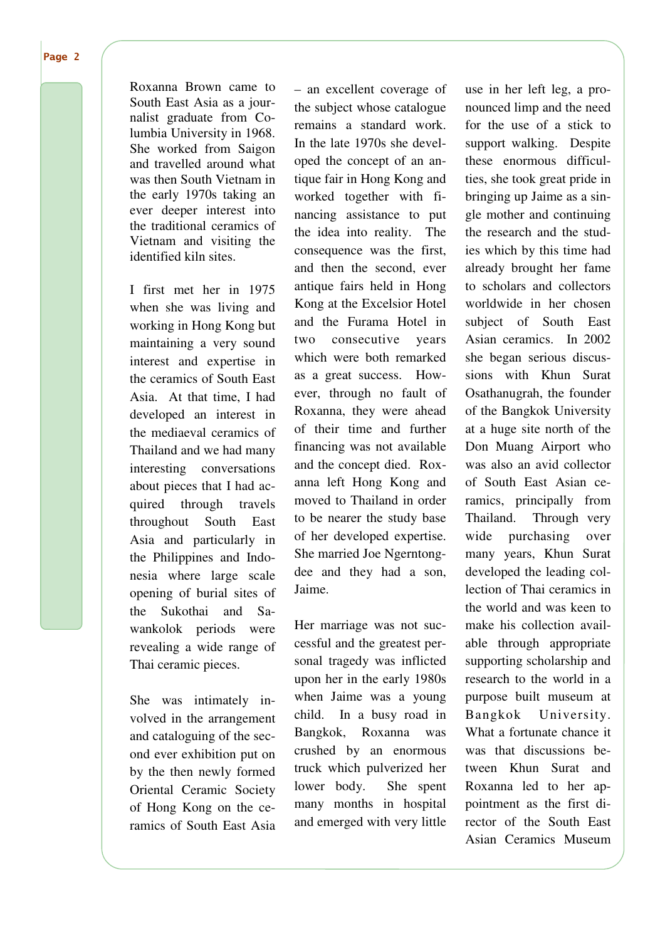Page 2

Roxanna Brown came to South East Asia as a journalist graduate from Columbia University in 1968. She worked from Saigon and travelled around what was then South Vietnam in the early 1970s taking an ever deeper interest into the traditional ceramics of Vietnam and visiting the identified kiln sites.

I first met her in 1975 when she was living and working in Hong Kong but maintaining a very sound interest and expertise in the ceramics of South East Asia. At that time, I had developed an interest in the mediaeval ceramics of Thailand and we had many interesting conversations about pieces that I had acquired through travels throughout South East Asia and particularly in the Philippines and Indonesia where large scale opening of burial sites of the Sukothai and Sawankolok periods were revealing a wide range of Thai ceramic pieces.

She was intimately involved in the arrangement and cataloguing of the second ever exhibition put on by the then newly formed Oriental Ceramic Society of Hong Kong on the ceramics of South East Asia – an excellent coverage of the subject whose catalogue remains a standard work. In the late 1970s she developed the concept of an antique fair in Hong Kong and worked together with financing assistance to put the idea into reality. The consequence was the first, and then the second, ever antique fairs held in Hong Kong at the Excelsior Hotel and the Furama Hotel in two consecutive years which were both remarked as a great success. However, through no fault of Roxanna, they were ahead of their time and further financing was not available and the concept died. Roxanna left Hong Kong and moved to Thailand in order to be nearer the study base of her developed expertise. She married Joe Ngerntongdee and they had a son, Jaime.

Her marriage was not successful and the greatest personal tragedy was inflicted upon her in the early 1980s when Jaime was a young child. In a busy road in Bangkok, Roxanna was crushed by an enormous truck which pulverized her lower body. She spent many months in hospital and emerged with very little use in her left leg, a pronounced limp and the need for the use of a stick to support walking. Despite these enormous difficulties, she took great pride in bringing up Jaime as a single mother and continuing the research and the studies which by this time had already brought her fame to scholars and collectors worldwide in her chosen subject of South East Asian ceramics. In 2002 she began serious discussions with Khun Surat Osathanugrah, the founder of the Bangkok University at a huge site north of the Don Muang Airport who was also an avid collector of South East Asian ceramics, principally from Thailand. Through very wide purchasing over many years, Khun Surat developed the leading collection of Thai ceramics in the world and was keen to make his collection available through appropriate supporting scholarship and research to the world in a purpose built museum at Bangkok University. What a fortunate chance it was that discussions between Khun Surat and Roxanna led to her appointment as the first director of the South East Asian Ceramics Museum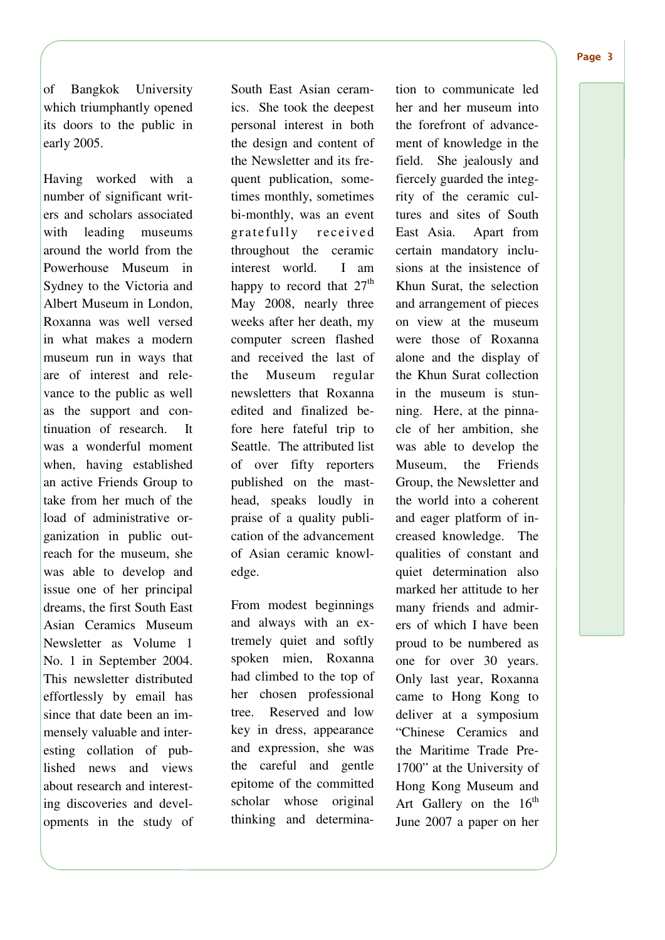of Bangkok University which triumphantly opened its doors to the public in early 2005.

Having worked with a number of significant writers and scholars associated with leading museums around the world from the Powerhouse Museum in Sydney to the Victoria and Albert Museum in London, Roxanna was well versed in what makes a modern museum run in ways that are of interest and relevance to the public as well as the support and continuation of research. It was a wonderful moment when, having established an active Friends Group to take from her much of the load of administrative organization in public outreach for the museum, she was able to develop and issue one of her principal dreams, the first South East Asian Ceramics Museum Newsletter as Volume 1 No. 1 in September 2004. This newsletter distributed effortlessly by email has since that date been an immensely valuable and interesting collation of published news and views about research and interesting discoveries and developments in the study of South East Asian ceramics. She took the deepest personal interest in both the design and content of the Newsletter and its frequent publication, sometimes monthly, sometimes bi-monthly, was an event gratefully received throughout the ceramic interest world. I am happy to record that  $27<sup>th</sup>$ May 2008, nearly three weeks after her death, my computer screen flashed and received the last of the Museum regular newsletters that Roxanna edited and finalized before here fateful trip to Seattle. The attributed list of over fifty reporters published on the masthead, speaks loudly in praise of a quality publication of the advancement of Asian ceramic knowledge.

From modest beginnings and always with an extremely quiet and softly spoken mien, Roxanna had climbed to the top of her chosen professional tree. Reserved and low key in dress, appearance and expression, she was the careful and gentle epitome of the committed scholar whose original thinking and determination to communicate led her and her museum into the forefront of advancement of knowledge in the field. She jealously and fiercely guarded the integrity of the ceramic cultures and sites of South East Asia. Apart from certain mandatory inclusions at the insistence of Khun Surat, the selection and arrangement of pieces on view at the museum were those of Roxanna alone and the display of the Khun Surat collection in the museum is stunning. Here, at the pinnacle of her ambition, she was able to develop the Museum, the Friends Group, the Newsletter and the world into a coherent and eager platform of increased knowledge. The qualities of constant and quiet determination also marked her attitude to her many friends and admirers of which I have been proud to be numbered as one for over 30 years. Only last year, Roxanna came to Hong Kong to deliver at a symposium "Chinese Ceramics and the Maritime Trade Pre-1700" at the University of Hong Kong Museum and Art Gallery on the  $16<sup>th</sup>$ June 2007 a paper on her